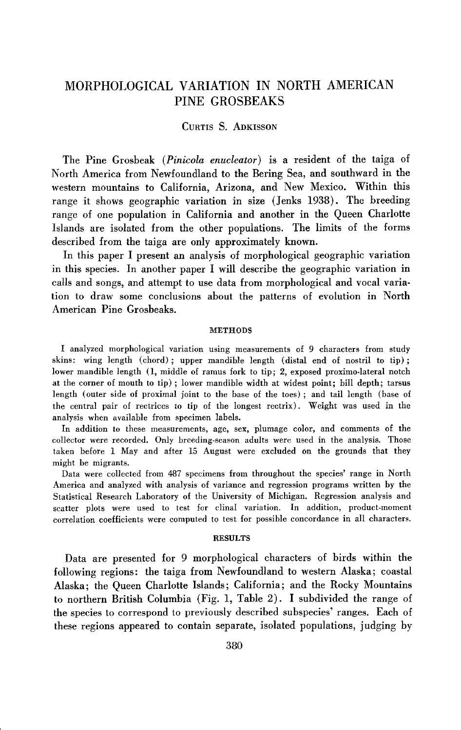# **MORPHOLOGICAL VARIATION IN NORTH AMERICAN PINE GROSBEAKS**

## **CURTIS S. ADKISSON**

**The Pine Grosbeak (Pinicola enucleator) is a resident of the taiga of North America from Newfoundland to the Bering Sea, and southward in the western mountains to California, Arizona, and New Mexico. Within this range it shows geographic variation in size (Jenks 1938). The breeding range of one population in California and another in the Queen Charlotte Islands are isolated from the other populations. The limits of the forms described from the taiga are only approximately known.** 

**In this paper I present an analysis of morphological geographic variation in this species. In another paper I will describe the geographic variation in calls and songs, and attempt to use data from morphological and vocal variation to draw some conclusions about the patterns of evolution in North American Pine Grosbeaks.** 

### **METHODS**

**I analyzed morphological variation using measurements of 9 characters from study skins: wing length (chord) ; upper mandible length (distal end of nostril to tip) ; lower mandible length (1, middle of ramus fork to tip; 2, exposed proximo-lateral notch at the corner of mouth to tip) ; lower mandible width at widest point; bill depth; tarsus length (outer side of proximal joint to the base of the toes) ; and tail length (base of the central pair of rectrices to tip of the longest rectrix). Weight was used in the analysis when available from specimen labels.** 

**In addition to these measurements, age, sex, plumage color, and comments of the collector were recorded. Only breeding-season adults were used in the analysis. Those taken before 1 May and after 15 August were excluded on the grounds that they might be migrants.** 

**Data were collected from 487 specimens from throughout the species' range in North America and analyzed with analysis of variance and regression programs written by the Statistical Research Laboratory of the University of Michigan. Regression analysis and scatter plots were used to test for clinal variation. In addition, product-moment correlation coefficients were computed to test for possible concordance in all characters.** 

#### **RESULTS**

**Data are presented for 9 morphological characters of birds within the following regions: the taiga from Newfoundland to western Alaska; coastal Alaska; the Queen Charlotte Islands; California; and the Rocky Mountains to northern British Columbia (Fig. 1, Table 2). I subdivided the range of the species to correspond to previously described subspecies' ranges. Each of these regions appeared to contain separate, isolated populations, judging by**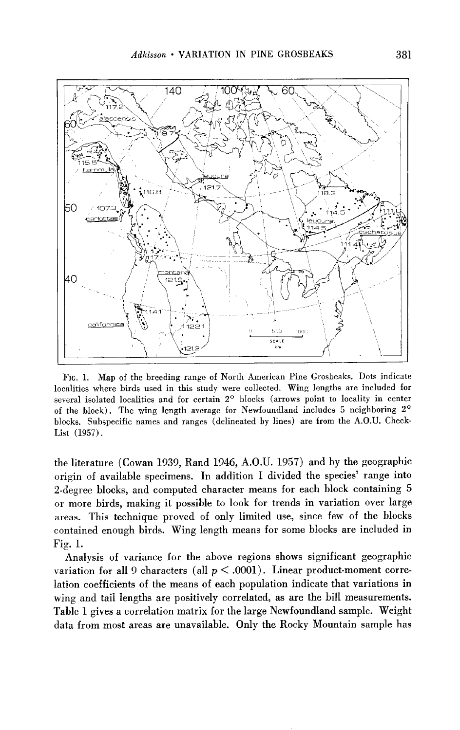

**FIG. 1. Map of the breeding range of North American Pine Grosbeaks. Dots indicate localities where birds used in this study were collected. Wing lengths are included for**  several isolated localities and for certain 2<sup>°</sup> blocks (arrows point to locality in center **of the block). The wing length average for Newfoundland includes 5 neighboring 2O blocks. Subspecific names and ranges (delineated by lines) are from the A.O.U. Check-List (1957).** 

**the literature (Cowan 1939, Rand 1946, A.O.U. 1957) and by the geographic origin of available specimens. In addition I divided the species' range into 2-degree blocks, and computed character means for each block containing 5 or more birds, making it possible to look for trends in variation over large areas. This technique proved of only limited use, since few of the blocks contained enough birds. Wing length means for some blocks are included in Fig. 1.** 

**Analysis of variance for the above regions shows significant geographic**  variation for all 9 characters (all  $p < .0001$ ). Linear product-moment corre**lation coefficients of the means of each population indicate that variations in wing and tail lengths are positively correlated, as are the bill measurements. Table 1 gives a correlation matrix for the large Newfoundland sample. Weight data from most areas are unavailable. Only the Rocky Mountain sample has**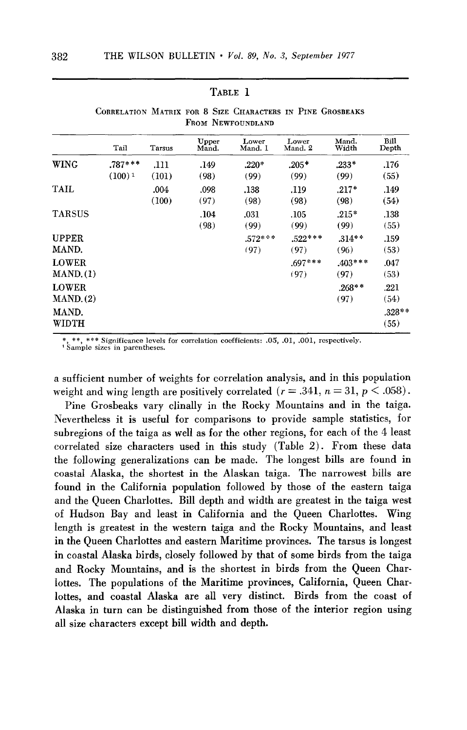|                           | Tail                   | Tarsus        | Upper<br>Mand. | Lower<br>Mand. 1  | Lower<br>Mand. 2  | Mand.<br>Width    | Bill<br>Depth    |
|---------------------------|------------------------|---------------|----------------|-------------------|-------------------|-------------------|------------------|
| <b>WING</b>               | $.787***$<br>$(100)^1$ | .111<br>(101) | .149<br>(98)   | $.220*$<br>(99)   | $.205*$<br>(99)   | $.233*$<br>(99)   | .176<br>(55)     |
| TAIL                      |                        | .004<br>(100) | .098<br>(97)   | .138<br>(98)      | .119<br>(98)      | $.217*$<br>(98)   | .149<br>(54)     |
| <b>TARSUS</b>             |                        |               | .104<br>(98)   | .031<br>(99)      | .105<br>(99)      | $.215*$<br>(99)   | .138<br>(55)     |
| <b>UPPER</b><br>MAND.     |                        |               |                | $.572***$<br>(97) | $.522***$<br>(97) | $.314**$<br>(96)  | .159<br>(53)     |
| <b>LOWER</b><br>MAND. (1) |                        |               |                |                   | $.697***$<br>(97) | $.403***$<br>(97) | .047<br>(53)     |
| <b>LOWER</b><br>MAND. (2) |                        |               |                |                   |                   | $.268**$<br>(97)  | .221<br>(54)     |
| MAND.<br><b>WIDTH</b>     |                        |               |                |                   |                   |                   | $.328**$<br>(55) |

## **TABLE 1**

**CORRELATION MATRIX FOR 8 SIZE CHARACTERS IN PINE GROSBEAKS**  FROM NEWFOUNDLAND

\*\*, \*\*\* Significance levels for correlation coefficients: .05, .01, .001, respectively. **' Sample sizes in parentheses.** 

**a sufficient number of weights for correlation analysis, and in this population**  weight and wing length are positively correlated  $(r = .341, n = 31, p < .058)$ .

**Pine Grosbeaks vary clinally in the Rocky Mountains and in the taiga. Nevertheless it is useful for comparisons to provide sample statistics, for subregions of the taiga as well as for the other regions, for each of the 4 least correlated size characters used in this study (Table 2). From these data the following generalizations can be made. The longest bills are found in coastal Alaska, the shortest in the Alaskan taiga. The narrowest bills are found in the California population followed by those of the eastern taiga and the Queen Charlottes. Bill depth and width are greatest in the taiga west of Hudson Bay and least in California and the Queen Charlottes. Wing length is greatest in the western taiga and the Rocky Mountains, and least in the Queen Charlottes and eastern Maritime provinces. The tarsus is longest in coastal Alaska birds, closely followed by that of some birds from the taiga and Rocky Mountains, and is the shortest in birds from the Queen Charlottes. The populations of the Maritime provinces, California, Queen Charlottes, and coastal Alaska are all very distinct. Birds from the coast of Alaska in turn can be distinguished from those of the interior region using all size characters except bill width and depth.**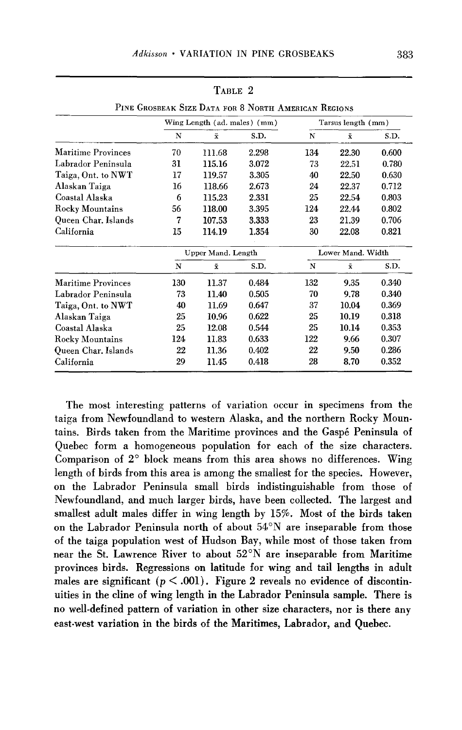| PINE GROSBEAK SIZE DATA FOR 8 NORTH AMERICAN REGIONS |                    |       |                              |                    |       |  |  |  |  |
|------------------------------------------------------|--------------------|-------|------------------------------|--------------------|-------|--|--|--|--|
|                                                      |                    |       | Tarsus length (mm)           |                    |       |  |  |  |  |
| N                                                    | $\bar{x}$          | S.D.  | N                            | $\bar{x}$          | S.D.  |  |  |  |  |
| 70                                                   | 111.68             | 2.298 | 134                          | 22.30              | 0.600 |  |  |  |  |
| 31                                                   | 115.16             | 3.072 | 73                           | 22.51              | 0.780 |  |  |  |  |
| 17                                                   | 119.57             | 3.305 | 40                           | 22.50              | 0.630 |  |  |  |  |
| 16                                                   | 118.66             | 2.673 | 24                           | 22.37              | 0.712 |  |  |  |  |
| 6                                                    | 115.23             | 2.331 | 25                           | 22.54              | 0.803 |  |  |  |  |
| 56                                                   | 118.00             | 3.395 | 124                          | 22.44              | 0.802 |  |  |  |  |
| 7                                                    | 107.53             | 3.333 | 23                           | 21.39              | 0.706 |  |  |  |  |
| 15                                                   | 114.19             | 1.354 | 30                           | 22.08              | 0.821 |  |  |  |  |
| Upper Mand. Length                                   |                    |       | Lower Mand. Width            |                    |       |  |  |  |  |
| N                                                    | $\bar{\mathbf{x}}$ | S.D.  | N                            | $\bar{\mathbf{x}}$ | S.D.  |  |  |  |  |
| 130                                                  | 11.37              | 0.484 | 132                          | 9.35               | 0.340 |  |  |  |  |
| 73                                                   | 11.40              | 0.505 | 70                           | 9.78               | 0.340 |  |  |  |  |
| 40                                                   | 11.69              | 0.647 | 37                           | 10.04              | 0.369 |  |  |  |  |
| 25                                                   | 10.96              | 0.622 | 25                           | 10.19              | 0.318 |  |  |  |  |
| 25                                                   | 12.08              | 0.544 | 25                           | 10.14              | 0.353 |  |  |  |  |
| 124                                                  | 11.83              | 0.633 | 122                          | 9.66               | 0.307 |  |  |  |  |
| 22                                                   | 11.36              | 0.402 | 22                           | 9.50               | 0.286 |  |  |  |  |
| 29                                                   | 11.45              | 0.418 | 28                           | 8.70               | 0.352 |  |  |  |  |
|                                                      |                    |       | Wing Length (ad. males) (mm) |                    |       |  |  |  |  |

**TABLE 2** 

**PINE GROSBEAK SIZE DATA FOR 8 NORTH AMERICAN REGIONS** 

**The most interesting patterns of variation occur in specimens from the taiga from Newfoundland to western Alaska, and the northern Rocky Mountains. Birds taken from the Maritime provinces and the Gasp6 Peninsula of Quebec form a homogeneous population for each of the size characters. Comparison of 2' block means from this area shows no differences. Wing length of birds from this area is among the smallest for the species. However, on the Labrador Peninsula small birds indistinguishable from those of Newfoundland, and much larger birds, have been collected. The largest and smallest adult males differ in wing length by 15%. Most of the birds taken on the Labrador Peninsula north of about 54"N are inseparable from those of the taiga population west of Hudson Bay, while most of those taken from near the St. Lawrence River to about 52"N are inseparable from Maritime provinces birds. Regressions on latitude for wing and tail lengths in adult**  males are significant  $(p < .001)$ . Figure 2 reveals no evidence of discontin**uities in the cline of wing length in the Labrador Peninsula sample. There is no well-defined pattern of variation in other size characters, nor is there any east-west variation in the birds of the Maritimes, Labrador, and Quebec.**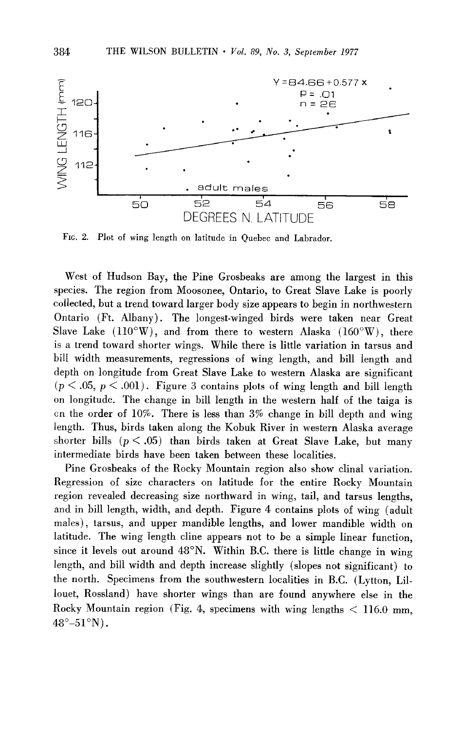

**FIG. 2. Plot of wing length on latitude in Quebec and Labrador.** 

**West of Hudson Bay, the Pine Grosbeaks are among the largest in this species. The region from Moosonee, Ontario, to Great Slave Lake is poorly collected, but a trend toward larger body size appears to begin in northwestern Ontario (Ft. Albany). The longest-winged birds were taken near Great**  Slave Lake  $(110^{\circ}\text{W})$ , and from there to western Alaska  $(160^{\circ}\text{W})$ , there **is a trend toward shorter wings. While there is little variation in tarsus and bill width measurements, regressions of wing length, and bill length and depth on longitude from Great Slave Lake to western Alaska are significant**   $(p \leq .05, p \leq .001)$ . Figure 3 contains plots of wing length and bill length **on longitude. The change in bill length in the western half of the taiga is on the order of 10%. There is less than 3% change in bill depth and wing length. Thus, birds taken along the Kobuk River in western Alaska average**  shorter bills  $(p < .05)$  than birds taken at Great Slave Lake, but many **intermediate birds have been taken between these localities.** 

**Pine Grosbeaks of the Rocky Mountain region also show clinal variation. Regression of size characters on latitude for the entire Rocky Mountain region revealed decreasing size northward in wing, tail, and tarsus lengths, and in bill length, width, and depth. Figure 4 contains plots of wing (adult males), tarsus, and upper mandible lengths, and lower mandible width on latitude. The wing length cline appears not to be a simple linear function, since it levels out around 48"N. Within B.C. there is little change in wing length, and bill width and depth increase slightly (slopes not significant) to the north. Specimens from the southwestern localities in B.C. (Lytton, Lillouet, Rossland) have shorter wings than are found anywhere else in the Rocky Mountain region (Fig. 4, specimens with wing lengths < 116.0 mm, 48"-51"N).**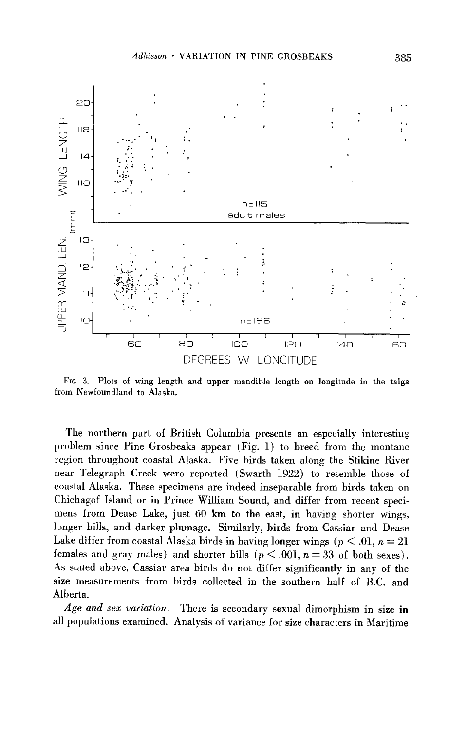

**FIG. 3. Plots of wing length and upper mandible length on longitude in the taiga from Newfoundland to Alaska.** 

**The northern part of British Columbia presents an especially interesting problem since Pine Grosbeaks appear (Fig. 1) to breed from the montane region throughout coastal Alaska. Five birds taken along the Stikine River near Telegraph Creek were reported (Swarth 1922) to resemble those of coastal Alaska. These specimens are indeed inseparable from birds taken on Chichagof Island or in Prince William Sound, and differ from recent specimens from Dease Lake, just 60 km to the east, in having shorter wings, longer bills, and darker plumage. Similarly, birds from Cassiar and Dease**  Lake differ from coastal Alaska birds in having longer wings ( $p < .01$ ,  $n = 21$ females and gray males) and shorter bills  $(p < .001, n = 33$  of both sexes). **As stated above, Cassiar area birds do not differ significantly in any of the size measurements from birds collected in the southern half of B.C. and Alberta.** 

**Age and sex variation.-There is secondary sexual dimorphism in size in all populations examined. Analysis of variance for size characters in Maritime**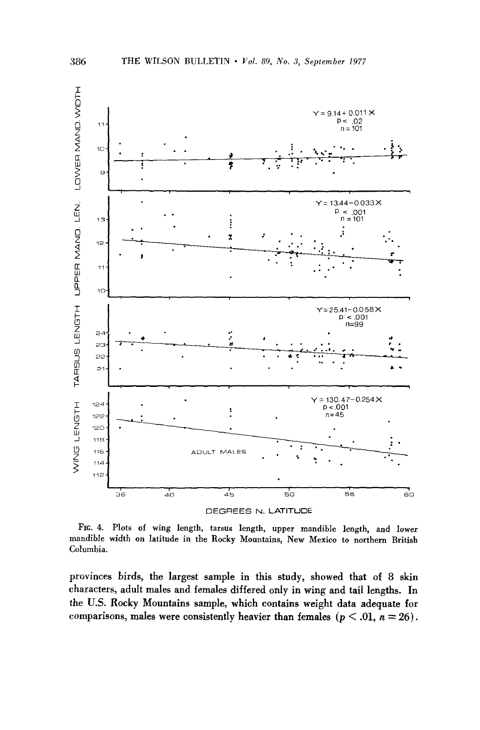

**FIG. 4. Plots of wing length, tarsus length, upper mandible length, and lower mandible width on latitude in the Rocky Mountains, New Mexico to northern British Columbia.** 

**provinces birds, the largest sample in this study, showed that of 8 skin**  characters, adult males and females differed only in wing and tail lengths. In **the U.S. Rocky Mountains sample, which contains weight data adequate for**  comparisons, males were consistently heavier than females  $(p < .01, n = 26)$ .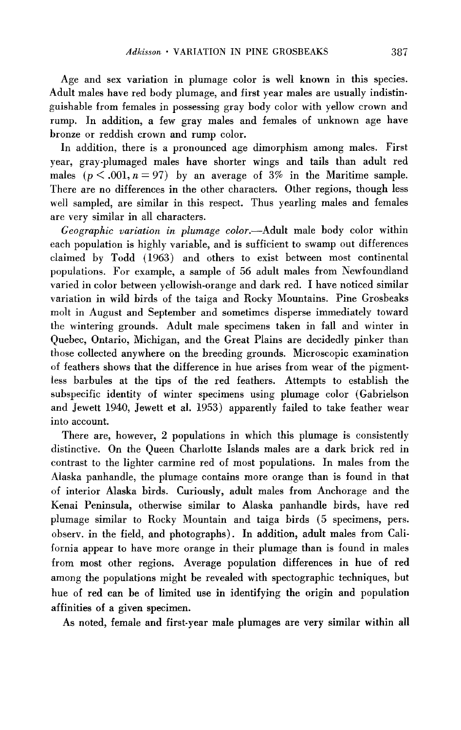**Age and sex variation in plumage color is well known in this species. Adult males have red body plumage, and first year males are usually indistinguishable from females in possessing gray body color with yellow crown and rump. In addition, a few gray males and females of unknown age have bronze or reddish crown and rump color.** 

**In addition, there is a pronounced age dimorphism among males. First year, gray-plumaged males have shorter wings and tails than adult red**  males  $(p < .001, n = 97)$  by an average of  $3\%$  in the Maritime sample. **There are no differences in the other characters. Other regions, though less well sampled, are similar in this respect. Thus yearling males and females are very similar in all characters.** 

**Geographic variation in plumage color.-Adult male body color within each population is highly variable, and is sufficient to swamp out differences claimed by Todd (1963) and others to exist between most continental populations. For example, a sample of 56 adult males from Newfoundland varied in color between yellowish-orange and dark red. I have noticed similar variation in wild birds of the taiga and Rocky Mountains. Pine Grosbeaks molt in August and September and sometimes disperse immediately toward the wintering grounds. Adult male specimens taken in fall and winter in Quebec, Ontario, Michigan, and the Great Plains are decidedly pinker than those collected anywhere on the breeding grounds. Microscopic examination of feathers shows that the difference in hue arises from wear of the pigmentless barbules at the tips of the red feathers. Attempts to establish the subspecific identity of winter specimens using plumage color (Gabrielson and Jewett 1940, Jewett et al. 1953) apparently failed to take feather wear into account.** 

**There are, however, 2 populations in which this plumage is consistently distinctive. On the Queen Charlotte Islands males are a dark brick red in contrast to the lighter carmine red of most populations. In males from the Alaska panhandle, the plumage contains more orange than is found in that of interior Alaska birds. Curiously, adult males from Anchorage and the Kenai Peninsula, otherwise similar to Alaska panhandle birds, have red plumage similar to Rocky Mountain and taiga birds (5 specimens, pers. observ. in the field, and photographs). In addition, adult males from California appear to have more orange in their plumage than is found in males from most other regions. Average population differences in hue of red among the populations might be revealed with spectographic techniques, but hue of red can be of limited use in identifying the origin and population affinities of a given specimen.** 

**As noted, female and first-year male plumages are very similar within all**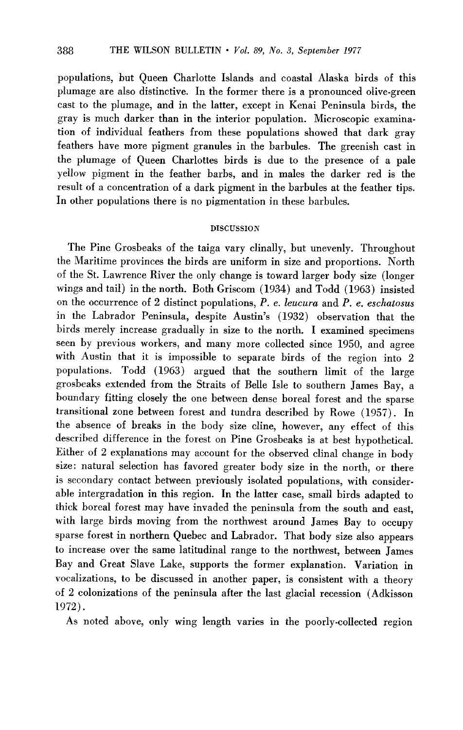**populations, but Queen Charlotte Islands and coastal Alaska birds of this plumage are also distinctive. In the former there is a pronounced olive-green cast to the plumage, and in the latter, except in Kenai Peninsula birds, the gray is much darker than in the interior population. Microscopic examination of individual feathers from these populations showed that dark gray feathers have more pigment granules in the barbules. The greenish cast in the plumage of Queen Charlottes birds is due to the presence of a pale yellow pigment in the feather barbs, and in males the darker red is the result of a concentration of a dark pigment in the barbules at the feather tips. In other populations there is no pigmentation in these barbules.** 

## **DISCUSSION**

**The Pine Grosbeaks of the taiga vary clinally, but unevenly. Throughout the Maritime provinces the birds are uniform in size and proportions. North of the St. Lawrence River the only change is toward larger body size (longer wings and tail) in the north. Both Griscom (1934) and Todd (1963) insisted on the occurrence of 2 distinct populations, P. e. leucura and P. e. eschatosus**  in the Labrador Peninsula, despite Austin's (1932) observation that the **birds merely increase gradually in size to the north. I examined specimens seen by previous workers, and many more collected since 1950, and agree with Austin that it is impossible to separate birds of the region into 2 populations. Todd (1963) argued that the southern limit of the large grosbeaks extended from the Straits of Belle Isle to southern James Bay, a boundary fitting closely the one between dense boreal forest and the sparse transitional zone between forest and tundra described by Rowe (1957). In the absence of breaks in the body size cline, however, any effect of this described difference in the forest on Pine Grosbeaks is at best hypothetical. Either of 2 explanations may account for the observed clinal change in body size: natural selection has favored greater body size in the north, or there is secondary contact between previously isolated populations, with considerable intergradation in this region. In the latter case, small birds adapted to thick boreal forest may have invaded the peninsula from the south and east, with large birds moving from the northwest around James Bay to occupy sparse forest in northern Quebec and Labrador. That body size also appears to increase over the same latitudinal range to the northwest, between James Bay and Great Slave Lake, supports the former explanation. Variation in vocalizations, to be discussed in another paper, is consistent with a theory of 2 colonizations of the peninsula after the last glacial recession (Adkisson 1972).** 

**As noted above, only wing length varies in the poorly-collected region**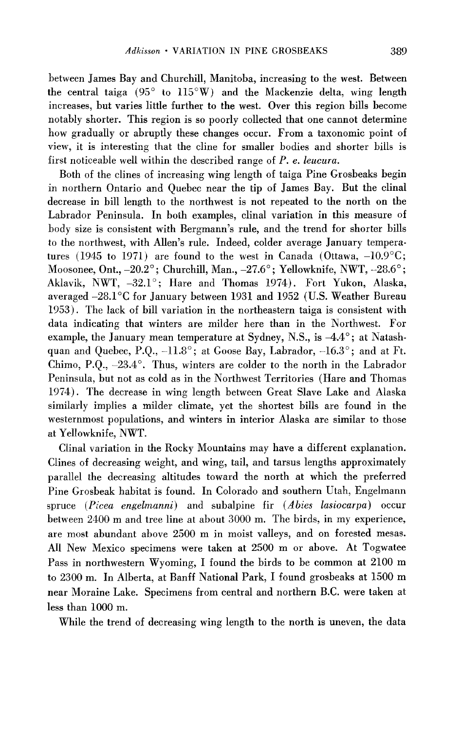**between James Bay and Churchill, Manitoba, increasing to the west. Between the central taiga (95" to 115"W) and the Mackenzie delta, wing length increases, but varies little further to the west. Over this region bills become notably shorter. This region is so poorly collected that one cannot determine how gradually or abruptly these changes occur. From a taxonomic point of view, it is interesting that the cline for smaller bodies and shorter bills is first noticeable well within the described range of P. e. leucura.** 

**Both of the clines of increasing wing length of taiga Pine Grosbeaks begin in northern Ontario and Quebec near the tip of James Bay. But the clinal decrease in bill length to the northwest is not repeated to the north on the Labrador Peninsula. In both examples, clinal variation in this measure of**  body size is consistent with Bergmann's rule, and the trend for shorter bills to the northwest, with Allen's rule. Indeed, colder average January tempera**tures (1945 to 1971) are found to the west in Canada (Ottawa, -10.9"C; Moosonee, Ont., -20.2" ; Churchill, Man., -27.6" ; Yellowknife, NWT, -28.6" ; Aklavik, NWT, -32.1' ; Hare and Thomas 1974). Fort Yukon, Alaska, averaged -28.1"C for January between 1931 and 1952 (U.S. Weather Bureau 1953). The lack of bill variation in the northeastern taiga is consistent with data indicating that winters are milder here than in the Northwest. For**  example, the January mean temperature at Sydney, N.S., is  $-4.4^{\circ}$ ; at Natashquan and Quebec, P.Q.,  $-11.8^\circ$ ; at Goose Bay, Labrador,  $-16.3^\circ$ ; and at Ft. **Chimo, P.Q., -23.4". Thus, winters are colder to the north in the Labrador Peninsula, but not as cold as in the Northwest Territories (Hare and Thomas 1974). The decrease in wing length between Great Slave Lake and Alaska similarly implies a milder climate, yet the shortest bills are found in the westernmost populations, and winters in interior Alaska are similar to those at Yellowknife, NWT.** 

**Clinal variation in the Rocky Mountains may have a different explanation. Clines of decreasing weight, and wing, tail, and tarsus lengths approximately parallel the decreasing altitudes toward the north at which the preferred Pine Grosbeak habitat is found. In Colorado and southern Utah, Engelmann spruce (Picea engelmanni) and subalpine fir (Abies lasiocarpa) occur between 2400 m and tree line at about 3000 m. The birds, in my experience, are most abundant above 2500 m in moist valleys, and on forested mesas. All New Mexico specimens were taken at 2500 m or above. At Togwatee Pass in northwestern Wyoming, I found the birds to be common at 2100 m to 2300 m. In Alberta, at Banff National Park, I found grosbeaks at 1500 m near Moraine Lake. Specimens from central and northern B.C. were taken at less than 1000 m.** 

**While the trend of decreasing wing length to the north is uneven, the data**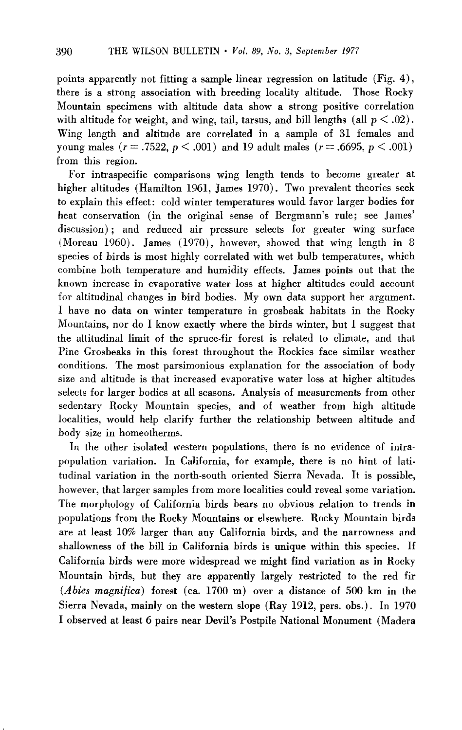points apparently not fitting a sample linear regression on latitude (Fig. 4), **there is a strong association with breeding locality altitude. Those Rocky Mountain specimens with altitude data show a strong positive correlation**  with altitude for weight, and wing, tail, tarsus, and bill lengths (all  $p < .02$ ). **Wing length and altitude are correlated in a sample of 31 females and young males (** $r = .7522$ **,**  $p < .001$ **) and 19 adult males (** $r = .6695$ **,**  $p < .001$ **) from this region.** 

**For intraspecific comparisons wing length tends to become greater at higher altitudes (Hamilton 1961, James 1970). Two prevalent theories seek to explain this effect: cold winter temperatures would favor larger bodies for**  heat conservation (in the original sense of Bergmann's rule; see James' **discussion) ; and reduced air pressure selects for greater wing surface (Moreau 1960). James (1970)) however, showed that wing length in 8 species of birds is most highly correlated with wet bulb temperatures, which combine both temperature and humidity effects. James points out that the known increase in evaporative water loss at higher altitudes could account for altitudinal changes in bird bodies. My own data support her argument. I have no data on winter temperature in grosbeak habitats in the Rocky Mountains, nor do I know exactly where the birds winter, but I suggest that the altitudinal limit of the spruce-fir forest is related to climate, and that Pine Grosbeaks in this forest throughout the Rockies face similar weather conditions. The most parsimonious explanation for the association of body size and altitude is that increased evaporative water loss at higher altitudes selects for larger bodies at all seasons. Analysis of measurements from other sedentary Rocky Mountain species, and of weather from high altitude localities, would help clarify further the relationship between altitude and body size in homeotherms.** 

**In the other isolated western populations, there is no evidence of intra**population variation. In California, for example, there is no hint of lati**tudinal variation in the north-south oriented Sierra Nevada. It is possible, however, that larger samples from more localities could reveal some variation. The morphology of California birds bears no obvious relation to trends in populations from the Rocky Mountains or elsewhere. Rocky Mountain birds are at least 10% larger than any California birds, and the narrowness and shallowness of the bill in California birds is unique within this species. If California birds were more widespread we might find variation as in Rocky Mountain birds, but they are apparently largely restricted to the red fir**  (*Abies magnifica*) forest (ca. 1700 m) over a distance of 500 km in the **Sierra Nevada, mainly on the western slope (Ray 1912, pers. obs.) . In 1970 I observed at least 6 pairs near Devils ' Postpile National Monument (Madera**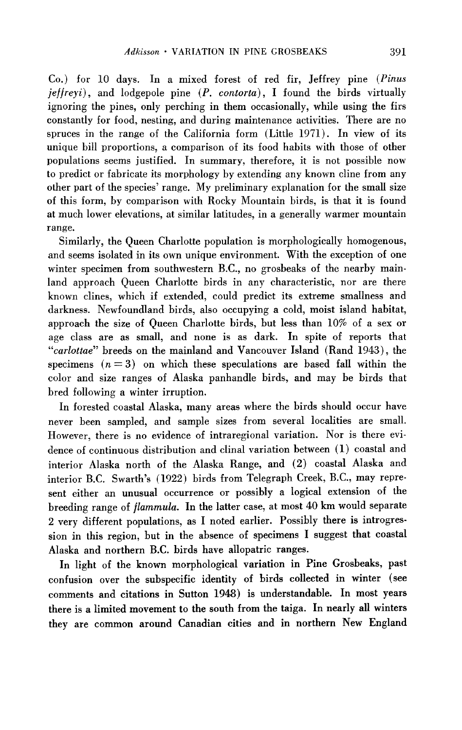**Co.) for 10 days. In a mixed forest of red fir, Jeffrey pine (Pinus jeffreyi), and lodgepole pine (P. contorta), I found the birds virtually ignoring the pines, only perching in them occasionally, while using the firs constantly for food, nesting, and during maintenance activities. There are no spruces in the range of the California form (Little 1971). In view of its unique bill proportions, a comparison of its food habits with those of other populations seems justified. In summary, therefore, it is not possible now to predict or fabricate its morphology by extending any known cline from any other part of the species' range. My preliminary explanation for the small size of this form, by comparison with Rocky Mountain birds, is that it is found at much lower elevations, at similar latitudes, in a generally warmer mountain range.** 

**Similarly, the Queen Charlotte population is morphologically homogenous, and seems isolated in its own unique environment. With the exception of one winter specimen from southwestern B.C., no grosbeaks of the nearby mainland approach Queen Charlotte birds in any characteristic, nor are there known clines, which if extended, could predict its extreme smallness and darkness. Newfoundland birds, also occupying a cold, moist island habitat, approach the size of Queen Charlotte birds, but less than 10% of a sex or age class are as small, and none is as dark. In spite of reports that "carlottae" breeds on the mainland and Vancouver Island (Rand 1943)) the**  specimens  $(n = 3)$  on which these speculations are based fall within the **color and size ranges of Alaska panhandle birds, and may be birds that bred following a winter irruption.** 

**In forested coastal Alaska, many areas where the birds should occur have never been sampled, and sample sizes from several localities are small. However, there is no evidence of intraregional variation. Nor is there evidence of continuous distribution and clinal variation between (1) coastal and interior Alaska north of the Alaska Range, and (2) coastal Alaska and**  interior B.C. Swarth's (1922) birds from Telegraph Creek, B.C., may repre**sent either an unusual occurrence or possibly a logical extension of the breeding range of flammula. In the latter case, at most 40 km would separate 2 very different populations, as I noted earlier. Possibly there is introgression in this region, but in the absence of specimens I suggest that coastal Alaska and northern B.C. birds have allopatric ranges.** 

**In light of the known morphological variation in Pine Grosbeaks, past confusion over the subspecific identity of birds collected in winter (see comments and citations in Sutton 1948) is understandable. In most years there is a limited movement to the south from the taiga. In nearly all winters they are common around Canadian cities and in northern New England**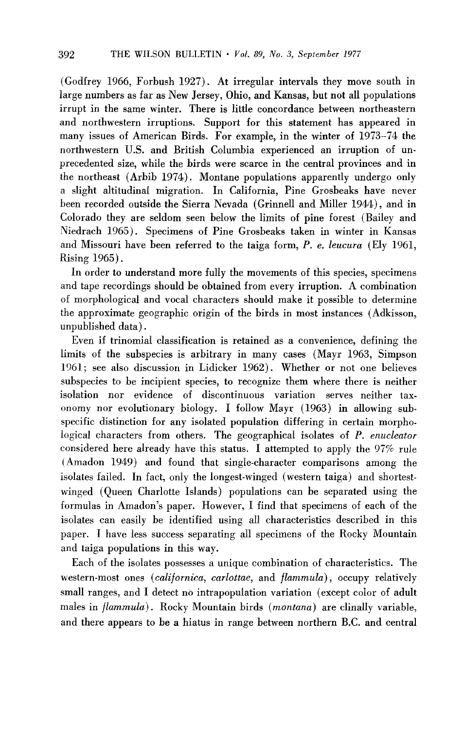(Godfrey 1966, Forbush 1927). At irregular intervals they move south in **large numbers as far as New Jersey, Ohio, and Kansas, but not all populations irrupt in the same winter. There is little concordance between northeastern and northwestern irruptions. Support for this statement has appeared in many issues of American Birds. For example, in the winter of 1973-74 the northwestern U.S. and British Columbia experienced an irruption of unprecedented size, while the birds were scarce in the central provinces and in the northeast (Arbib 1974). Montane populations apparently undergo only a slight altitudinal migration. In California, Pine Grosbeaks have never been recorded outside the Sierra Nevada (Grinnell and Miller 1944)) and in Colorado they are seldom seen below the limits of pine forest (Bailey and Niedrach 1965). Specimens of Pine Grosbeaks taken in winter in Kansas**  and Missouri have been referred to the taiga form, P. e. leucura (Ely 1961, **Rising 1965).** 

**In order to understand more fully the movements of this species, specimens and tape recordings should be obtained from every irruption. A combination of morphological and vocal characters should make it possible to determine the approximate geographic origin of the birds in most instances (Adkisson, unpublished data),** 

**Even if trinomial classification is retained as a convenience, defining the limits of the subspecies is arbitrary in many cases (Mayr 1963, Simpson 1961; see also discussion in Lidicker 1962). Whether or not one believes subspecies to be incipient species, to recognize them where there is neither isolation nor evidence of discontinuous variation serves neither taxonomy nor evolutionary biology. I follow Mayr (1963) in allowing subspecific distinction for any isolated population differing in certain morphological characters from others. The geographical isolates of P. enucleator considered here already have this status. I attempted to apply the 97% rule (Amadon 1949) and found that single-character comparisons among the isolates failed. In fact, only the longest-winged (western taiga) and shortestwinged (Queen Charlotte Islands) populations can be separated using the**  formulas in Amadon's paper. However, I find that specimens of each of the **isolates can easily be identified using all characteristics described in this paper. I have less success separating all specimens of the Rocky Mountain and taiga populations in this way.** 

**Each of the isolates possesses a unique combination of characteristics. The western-most ones (californica, cnrlottae, and flammula) , occupy relatively small ranges, and I detect no intrapopulation variation (except color of adult**  males in *flammula*). Rocky Mountain birds (*montana*) are clinally variable, **and there appears to be a hiatus in range between northern B.C. and central**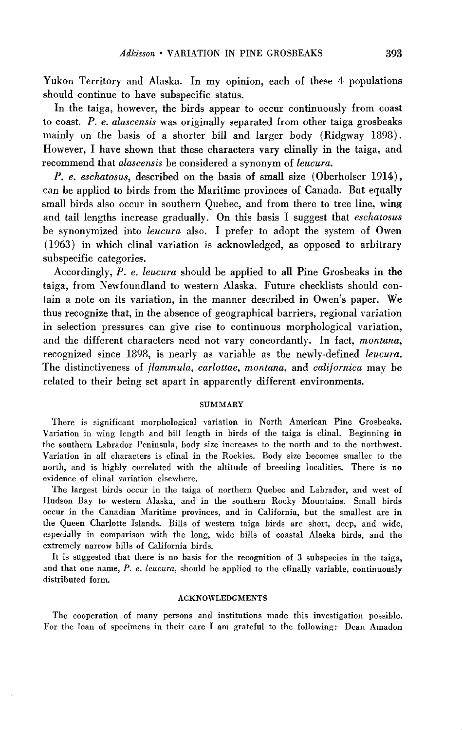**Yukon Territory and Alaska. In my opinion, each of these 4 populations should continue to have subspecific status.** 

**In the taiga, however, the birds appear to occur continuously from coast to coast. P. e. alascensis was originally separated from other taiga grosbeaks mainly on the basis of a shorter bill and larger body (Ridgway lS98). However, I have shown that these characters vary clinally in the taiga, and**  recommend that *alascensis* be considered a synonym of leucura.

**P. e. eschatosus, described on the basis of small size (Oberholser 1914)) can be applied to birds from the Maritime provinces of Canada. But equally small birds also occur in southern Quebec, and from there to tree line, wing**  and tail lengths increase gradually. On this basis I suggest that *eschatosus* **be synonymized into leucura also. I prefer to adopt the system of Owen (1963) in which clinal variation is acknowledged, as opposed to arbitrary subspecific categories.** 

**Accordingly, P. e. leucura should be applied to all Pine Grosbeaks in the taiga, from Newfoundland to western Alaska. Future checklists should con**tain a note on its variation, in the manner described in Owen's paper. We **thus recognize that, in the absence of geographical barriers, regional variation in selection pressures can give rise to continuous morphological variation, and the different characters need not vary concordantly. In fact, montana, recognized since 1898, is nearly as variable as the newly-defined leucura. The distinctiveness of flammula, carlottae, montana, and californica may be related to their being set apart in apparently different environments.** 

#### **SUMMARY**

**There is significant morphological variation in North American Pine Grosbeaks. Variation in wing length and bill length in birds of the taiga is clinal. Beginning in the southern Labrador Peninsula, body size increases to the north and to the northwest. Variation in all characters is clinal in the Rockies. Body size becomes smaller to the north, and is highly correlated with the altitude of breeding localities. There is no evidence of clinal variation elsewhere.** 

**The largest birds occur in the taiga of northern Quebec and Labrador, and west of Hudson Bay to western Alaska, and in the southern Rocky Mountains. Small birds occur in the Canadian Maritime provinces, and in California, but the smallest are in the Queen Charlotte Islands. Bills of western taiga birds are short, deep, and wide, especially in comparison with the long, wide bills of coastal Alaska birds, and the extremely narrow bills of California birds.** 

**It is suggested that there is no basis for the recognition of 3 subspecies in the taiga, and that one name, P. e. leucura, should be applied to the clinally variable, continuously distributed form.** 

### **ACKNOWLEDGMENTS**

**The cooperation of many persons and institutions made this investigation possible. For the loan of specimens in their care I am grateful to the following: Dean Amadon**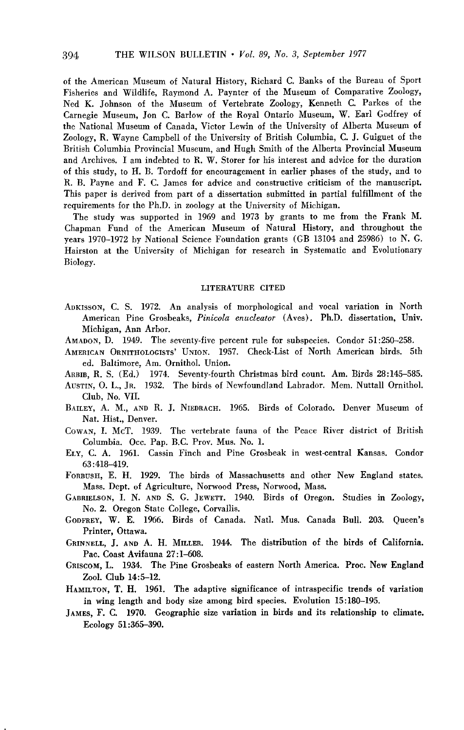**of the American Museum of Natural History, Richard C. Banks of the Bureau of Sport Fisheries and Wildlife, Raymond A. Paynter of the Museum of Comparative Zoology, Ned K. Johnson of the Museum of Vertebrate Zoology, Kenneth C. Parkes of the Carnegie Museum, Jon C. Barlow of the Royal Ontario Museum, W. Earl Godfrey of the National Museum of Canada, Victor Lewin of the University of Alberta Museum of Zoology, R. Wayne Campbell of the University of British Columbia, C. J. Guiguet of the British Columbia Provincial Museum, and Hugh Smith of the Alberta Provincial Museum and Archives. I am indebted to R. W. Storer for his interest and advice for the duration of this study, to H. B. Tordoff for encouragement in earlier phases of the study, and to R. B. Payne and F. C. James for advice and constructive criticism of the manuscript. This paper is derived from part of a dissertation submitted in partial fulfillment of the requirements for the Ph.D. in zoology at the University of Michigan.** 

**The study was supported in 1969 and 1973 by grants to me from the Frank M. Chapman Fund of the American Museum of Natural History, and throughout the years 1970-1972 by National Science Foundation grants (GB 13104 and 25986) to N. G. Hairston at the University of Michigan for research in Systematic and Evolutionary Biology.** 

#### **LITERATURE CITED**

- **ADKISSON, C. S. 1972. An analysis of morphological and vocal variation in North American Pine Grosbeaks, Pinicola enucleator (Aves) .Ph.D. dissertation, Univ. Michigan, Ann Arbor.**
- **AMADON, D. 1949. The seventy-five percent rule for subspecies. Condor 51:250-258.**
- **AMERICAN ORNITHOLOGISTS' UNION. 1957. Check-List of North American birds. 5th ed. Baltimore, Am. Omithol. Union.**
- **ARBIB, R. S. (Ed.) 1974. Seventy-fourth Christmas bird count. Am. Birds 28:145-585.**
- **AUSTIN, 0. L., JR. 1932. The birds of Newfoundland Labrador. Mem. Nuttall Omithol. Club, No. VII.**
- **BAILEY, A. M., AND R. J. NIEDRACH. 1965. Birds of Colorado. Denver Museum of Nat. Hist., Denver.**
- **COWAN, I. McT. 1939. The vertebrate fauna of the Peace River district of British**  Columbia. Occ. Pap. B.C. Prov. Mus. No. 1.
- **ELY, C. A. 1961. Cassin Finch and Pine Grosbeak in west-central Kansas. Condor 63:418-419.**
- **FORBUSH, E. H. 1929. The birds of Massachusetts and other New England states. Mass. Dept. of Agriculture, Norwood Press, Norwood, Mass.**
- **GABRIELSON, I. N. AND S. G. JEWETT. 1940. Birds of Oregon. Studies in Zoology, No. 2. Oregon State College, Corvallis.**
- **GODFREY, W. E. 1966. Birds of Canada. Natl. Mus. Canada Bull. 203. Queen's Printer, Ottawa.**
- **GRINNELL, J. AND A. H. MILLER. 1944. The distribution of the birds of California. Pac. Coast Avifauna 27:1-608.**
- **GRISCOM, L. 1934. The Pine Grosbeaks of eastern North America. Proc. New England Zool. Club 14:5-12.**
- **HAMILTON, T. H. 1961. The adaptive significance of intraspecific trends of variation in wing length and body size among bird species. Evolution 15:180-195.**
- **JAMES, F. C. 1970. Geographic size variation in birds and its relationship to climate. Ecology 51:365-390.**